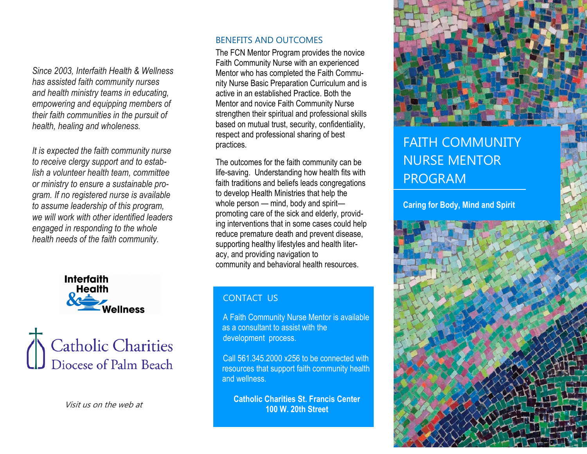*Since 2003, Interfaith Health & Wellness has assisted faith community nurses and health ministry teams in educating, empowering and equipping members of their faith communities in the pursuit of health, healing and wholeness.*

*It is expected the faith community nurse to receive clergy support and to establish a volunteer health team, committee or ministry to ensure a sustainable program. If no registered nurse is available to assume leadership of this program, we will work with other identified leaders engaged in responding to the whole health needs of the faith community.*





Visit us on the web at

#### BENEFITS AND OUTCOMES

The FCN Mentor Program provides the novice Faith Community Nurse with an experienced Mentor who has completed the Faith Community Nurse Basic Preparation Curriculum and is active in an established Practice. Both the Mentor and novice Faith Community Nurse strengthen their spiritual and professional skills based on mutual trust, security, confidentiality, respect and professional sharing of best practices.

The outcomes for the faith community can be life-saving. Understanding how health fits with faith traditions and beliefs leads congregations to develop Health Ministries that help the whole person — mind, body and spirit promoting care of the sick and elderly, providing interventions that in some cases could help reduce premature death and prevent disease, supporting healthy lifestyles and health literacy, and providing navigation to community and behavioral health resources.

### CONTACT US

A Faith Community Nurse Mentor is available as a consultant to assist with the development process.

Call 561.345.2000 x256 to be connected with resources that support faith community health and wellness.

**Catholic Charities St. Francis Center 100 W. 20th Street**



# FAITH COMMUNITY NURSE MENTOR PROGRAM

**Caring for Body, Mind and Spirit**